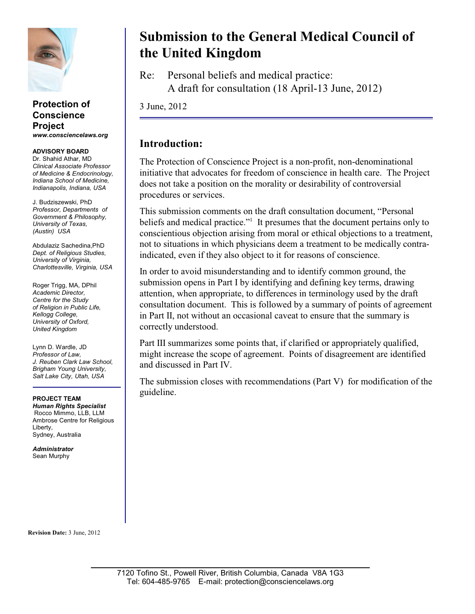

#### **Protection of Conscience Project** *www.consciencelaws.org*

#### **ADVISORY BOARD** Dr. Shahid Athar, MD

*Clinical Associate Professor of Medicine & Endocrinology, Indiana School of Medicine, Indianapolis, Indiana, USA*

J. Budziszewski, PhD *Professor, Departments of Government & Philosophy, University of Texas, (Austin) USA* 

Abdulaziz Sachedina,PhD *Dept. of Religious Studies, University of Virginia, Charlottesville, Virginia, USA* 

Roger Trigg, MA, DPhil *Academic Director, Centre for the Study of Religion in Public Life, Kellogg College, University of Oxford, United Kingdom*

Lynn D. Wardle, JD *Professor of Law, J. Reuben Clark Law School, Brigham Young University, Salt Lake City, Utah, USA*

#### **PROJECT TEAM**

*Human Rights Specialist* Rocco Mimmo, LLB, LLM Ambrose Centre for Religious Liberty, Sydney, Australia

*Administrator* Sean Murphy

**Revision Date:** 3 June, 2012

# **Submission to the General Medical Council of the United Kingdom**

Re: Personal beliefs and medical practice: A draft for consultation (18 April-13 June, 2012)

3 June, 2012

# **Introduction:**

The Protection of Conscience Project is a non-profit, non-denominational initiative that advocates for freedom of conscience in health care. The Project does not take a position on the morality or desirability of controversial procedures or services.

This submission comments on the draft consultation document, "Personal beliefs and medical practice." $\cdot$  It presumes that the document pertains only to conscientious objection arising from moral or ethical objections to a treatment, not to situations in which physicians deem a treatment to be medically contraindicated, even if they also object to it for reasons of conscience.

In order to avoid misunderstanding and to identify common ground, the submission opens in Part I by identifying and defining key terms, drawing attention, when appropriate, to differences in terminology used by the draft consultation document. This is followed by a summary of points of agreement in Part II, not without an occasional caveat to ensure that the summary is correctly understood.

Part III summarizes some points that, if clarified or appropriately qualified, might increase the scope of agreement. Points of disagreement are identified and discussed in Part IV.

The submission closes with recommendations (Part V) for modification of the guideline.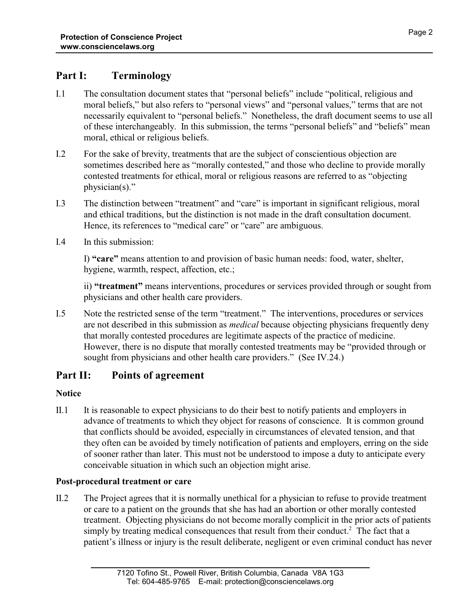# **Part I: Terminology**

- I.1 The consultation document states that "personal beliefs" include "political, religious and moral beliefs," but also refers to "personal views" and "personal values," terms that are not necessarily equivalent to "personal beliefs." Nonetheless, the draft document seems to use all of these interchangeably. In this submission, the terms "personal beliefs" and "beliefs" mean moral, ethical or religious beliefs.
- I.2 For the sake of brevity, treatments that are the subject of conscientious objection are sometimes described here as "morally contested," and those who decline to provide morally contested treatments for ethical, moral or religious reasons are referred to as "objecting physician(s)."
- I.3 The distinction between "treatment" and "care" is important in significant religious, moral and ethical traditions, but the distinction is not made in the draft consultation document. Hence, its references to "medical care" or "care" are ambiguous.
- I.4 In this submission:

I) **"care"** means attention to and provision of basic human needs: food, water, shelter, hygiene, warmth, respect, affection, etc.;

ii) **"treatment"** means interventions, procedures or services provided through or sought from physicians and other health care providers.

I.5 Note the restricted sense of the term "treatment." The interventions, procedures or services are not described in this submission as *medical* because objecting physicians frequently deny that morally contested procedures are legitimate aspects of the practice of medicine. However, there is no dispute that morally contested treatments may be "provided through or sought from physicians and other health care providers." (See IV.24.)

# **Part II: Points of agreement**

# **Notice**

II.1 It is reasonable to expect physicians to do their best to notify patients and employers in advance of treatments to which they object for reasons of conscience. It is common ground that conflicts should be avoided, especially in circumstances of elevated tension, and that they often can be avoided by timely notification of patients and employers, erring on the side of sooner rather than later. This must not be understood to impose a duty to anticipate every conceivable situation in which such an objection might arise.

# **Post-procedural treatment or care**

II.2 The Project agrees that it is normally unethical for a physician to refuse to provide treatment or care to a patient on the grounds that she has had an abortion or other morally contested treatment. Objecting physicians do not become morally complicit in the prior acts of patients simply by treating medical consequences that result from their conduct.<sup>2</sup> The fact that a patient's illness or injury is the result deliberate, negligent or even criminal conduct has never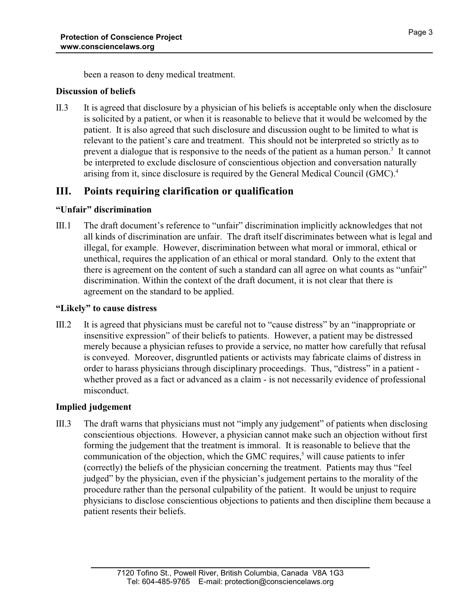been a reason to deny medical treatment.

# **Discussion of beliefs**

II.3 It is agreed that disclosure by a physician of his beliefs is acceptable only when the disclosure is solicited by a patient, or when it is reasonable to believe that it would be welcomed by the patient. It is also agreed that such disclosure and discussion ought to be limited to what is relevant to the patient's care and treatment. This should not be interpreted so strictly as to prevent a dialogue that is responsive to the needs of the patient as a human person.<sup>3</sup> It cannot be interpreted to exclude disclosure of conscientious objection and conversation naturally arising from it, since disclosure is required by the General Medical Council (GMC).<sup>4</sup>

# **III. Points requiring clarification or qualification**

# **"Unfair" discrimination**

III.1 The draft document's reference to "unfair" discrimination implicitly acknowledges that not all kinds of discrimination are unfair. The draft itself discriminates between what is legal and illegal, for example. However, discrimination between what moral or immoral, ethical or unethical, requires the application of an ethical or moral standard. Only to the extent that there is agreement on the content of such a standard can all agree on what counts as "unfair" discrimination. Within the context of the draft document, it is not clear that there is agreement on the standard to be applied.

#### **"Likely" to cause distress**

III.2 It is agreed that physicians must be careful not to "cause distress" by an "inappropriate or insensitive expression" of their beliefs to patients. However, a patient may be distressed merely because a physician refuses to provide a service, no matter how carefully that refusal is conveyed. Moreover, disgruntled patients or activists may fabricate claims of distress in order to harass physicians through disciplinary proceedings. Thus, "distress" in a patient whether proved as a fact or advanced as a claim - is not necessarily evidence of professional misconduct.

# **Implied judgement**

III.3 The draft warns that physicians must not "imply any judgement" of patients when disclosing conscientious objections. However, a physician cannot make such an objection without first forming the judgement that the treatment is immoral. It is reasonable to believe that the communication of the objection, which the GMC requires,<sup>5</sup> will cause patients to infer (correctly) the beliefs of the physician concerning the treatment. Patients may thus "feel judged" by the physician, even if the physician's judgement pertains to the morality of the procedure rather than the personal culpability of the patient. It would be unjust to require physicians to disclose conscientious objections to patients and then discipline them because a patient resents their beliefs.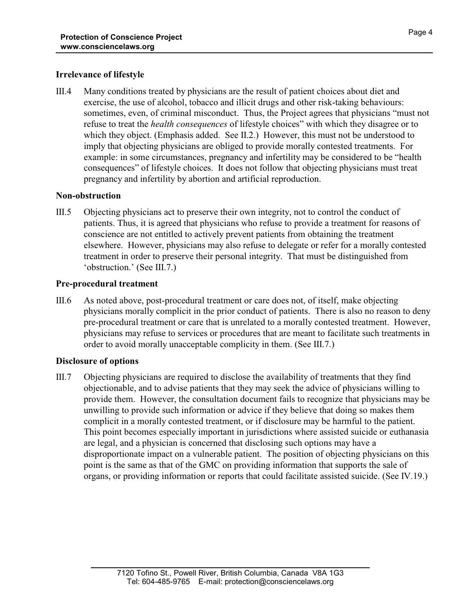## **Irrelevance of lifestyle**

III.4 Many conditions treated by physicians are the result of patient choices about diet and exercise, the use of alcohol, tobacco and illicit drugs and other risk-taking behaviours: sometimes, even, of criminal misconduct. Thus, the Project agrees that physicians "must not refuse to treat the *health consequences* of lifestyle choices" with which they disagree or to which they object. (Emphasis added. See II.2.) However, this must not be understood to imply that objecting physicians are obliged to provide morally contested treatments. For example: in some circumstances, pregnancy and infertility may be considered to be "health consequences" of lifestyle choices. It does not follow that objecting physicians must treat pregnancy and infertility by abortion and artificial reproduction.

# **Non-obstruction**

III.5 Objecting physicians act to preserve their own integrity, not to control the conduct of patients. Thus, it is agreed that physicians who refuse to provide a treatment for reasons of conscience are not entitled to actively prevent patients from obtaining the treatment elsewhere. However, physicians may also refuse to delegate or refer for a morally contested treatment in order to preserve their personal integrity. That must be distinguished from 'obstruction.' (See III.7.)

# **Pre-procedural treatment**

III.6 As noted above, post-procedural treatment or care does not, of itself, make objecting physicians morally complicit in the prior conduct of patients. There is also no reason to deny pre-procedural treatment or care that is unrelated to a morally contested treatment. However, physicians may refuse to services or procedures that are meant to facilitate such treatments in order to avoid morally unacceptable complicity in them. (See III.7.)

# **Disclosure of options**

III.7 Objecting physicians are required to disclose the availability of treatments that they find objectionable, and to advise patients that they may seek the advice of physicians willing to provide them. However, the consultation document fails to recognize that physicians may be unwilling to provide such information or advice if they believe that doing so makes them complicit in a morally contested treatment, or if disclosure may be harmful to the patient. This point becomes especially important in jurisdictions where assisted suicide or euthanasia are legal, and a physician is concerned that disclosing such options may have a disproportionate impact on a vulnerable patient. The position of objecting physicians on this point is the same as that of the GMC on providing information that supports the sale of organs, or providing information or reports that could facilitate assisted suicide. (See IV.19.)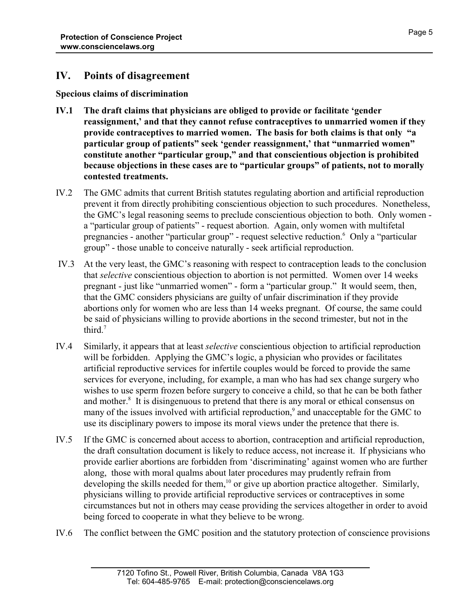# **IV. Points of disagreement**

**Specious claims of discrimination**

- **IV.1 The draft claims that physicians are obliged to provide or facilitate 'gender reassignment,' and that they cannot refuse contraceptives to unmarried women if they provide contraceptives to married women. The basis for both claims is that only "a particular group of patients" seek 'gender reassignment,' that "unmarried women" constitute another "particular group," and that conscientious objection is prohibited because objections in these cases are to "particular groups" of patients, not to morally contested treatments.**
- IV.2 The GMC admits that current British statutes regulating abortion and artificial reproduction prevent it from directly prohibiting conscientious objection to such procedures. Nonetheless, the GMC's legal reasoning seems to preclude conscientious objection to both. Only women a "particular group of patients" - request abortion. Again, only women with multifetal pregnancies - another "particular group" - request selective reduction. <sup>6</sup> Only a "particular group" - those unable to conceive naturally - seek artificial reproduction.
- IV.3 At the very least, the GMC's reasoning with respect to contraception leads to the conclusion that *selective* conscientious objection to abortion is not permitted. Women over 14 weeks pregnant - just like "unmarried women" - form a "particular group." It would seem, then, that the GMC considers physicians are guilty of unfair discrimination if they provide abortions only for women who are less than 14 weeks pregnant. Of course, the same could be said of physicians willing to provide abortions in the second trimester, but not in the third. $7$
- IV.4 Similarly, it appears that at least *selective* conscientious objection to artificial reproduction will be forbidden. Applying the GMC's logic, a physician who provides or facilitates artificial reproductive services for infertile couples would be forced to provide the same services for everyone, including, for example, a man who has had sex change surgery who wishes to use sperm frozen before surgery to conceive a child, so that he can be both father and mother.<sup>8</sup> It is disingenuous to pretend that there is any moral or ethical consensus on many of the issues involved with artificial reproduction, $\degree$  and unacceptable for the GMC to use its disciplinary powers to impose its moral views under the pretence that there is.
- IV.5 If the GMC is concerned about access to abortion, contraception and artificial reproduction, the draft consultation document is likely to reduce access, not increase it. If physicians who provide earlier abortions are forbidden from 'discriminating' against women who are further along, those with moral qualms about later procedures may prudently refrain from developing the skills needed for them,<sup>10</sup> or give up abortion practice altogether. Similarly, physicians willing to provide artificial reproductive services or contraceptives in some circumstances but not in others may cease providing the services altogether in order to avoid being forced to cooperate in what they believe to be wrong.
- IV.6 The conflict between the GMC position and the statutory protection of conscience provisions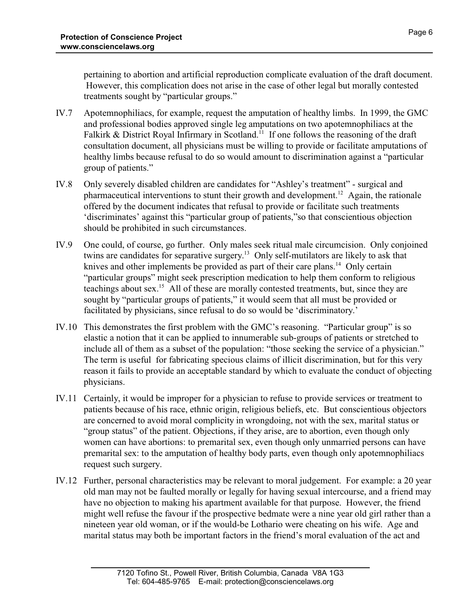pertaining to abortion and artificial reproduction complicate evaluation of the draft document. However, this complication does not arise in the case of other legal but morally contested treatments sought by "particular groups."

- IV.7 Apotemnophiliacs, for example, request the amputation of healthy limbs. In 1999, the GMC and professional bodies approved single leg amputations on two apotemnophiliacs at the Falkirk & District Royal Infirmary in Scotland.<sup>11</sup> If one follows the reasoning of the draft consultation document, all physicians must be willing to provide or facilitate amputations of healthy limbs because refusal to do so would amount to discrimination against a "particular group of patients."
- IV.8 Only severely disabled children are candidates for "Ashley's treatment" surgical and pharmaceutical interventions to stunt their growth and development.<sup>12</sup> Again, the rationale offered by the document indicates that refusal to provide or facilitate such treatments 'discriminates' against this "particular group of patients,"so that conscientious objection should be prohibited in such circumstances.
- IV.9 One could, of course, go further. Only males seek ritual male circumcision. Only conjoined twins are candidates for separative surgery.<sup>13</sup> Only self-mutilators are likely to ask that knives and other implements be provided as part of their care plans.<sup>14</sup> Only certain "particular groups" might seek prescription medication to help them conform to religious teachings about sex.<sup>15</sup> All of these are morally contested treatments, but, since they are sought by "particular groups of patients," it would seem that all must be provided or facilitated by physicians, since refusal to do so would be 'discriminatory.'
- IV.10 This demonstrates the first problem with the GMC's reasoning. "Particular group" is so elastic a notion that it can be applied to innumerable sub-groups of patients or stretched to include all of them as a subset of the population: "those seeking the service of a physician." The term is useful for fabricating specious claims of illicit discrimination, but for this very reason it fails to provide an acceptable standard by which to evaluate the conduct of objecting physicians.
- IV.11 Certainly, it would be improper for a physician to refuse to provide services or treatment to patients because of his race, ethnic origin, religious beliefs, etc. But conscientious objectors are concerned to avoid moral complicity in wrongdoing, not with the sex, marital status or "group status" of the patient. Objections, if they arise, are to abortion, even though only women can have abortions: to premarital sex, even though only unmarried persons can have premarital sex: to the amputation of healthy body parts, even though only apotemnophiliacs request such surgery.
- IV.12 Further, personal characteristics may be relevant to moral judgement. For example: a 20 year old man may not be faulted morally or legally for having sexual intercourse, and a friend may have no objection to making his apartment available for that purpose. However, the friend might well refuse the favour if the prospective bedmate were a nine year old girl rather than a nineteen year old woman, or if the would-be Lothario were cheating on his wife. Age and marital status may both be important factors in the friend's moral evaluation of the act and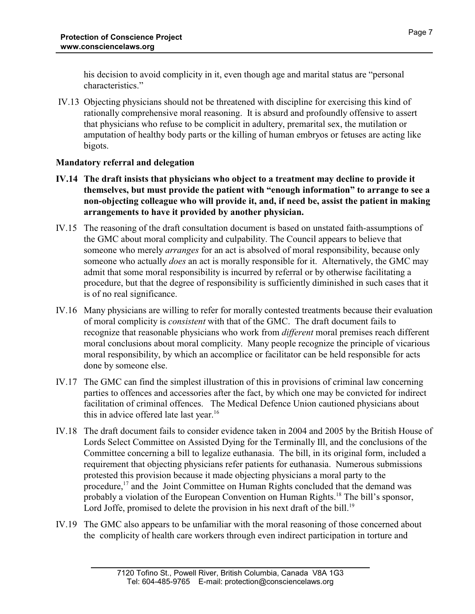his decision to avoid complicity in it, even though age and marital status are "personal characteristics."

 IV.13 Objecting physicians should not be threatened with discipline for exercising this kind of rationally comprehensive moral reasoning. It is absurd and profoundly offensive to assert that physicians who refuse to be complicit in adultery, premarital sex, the mutilation or amputation of healthy body parts or the killing of human embryos or fetuses are acting like bigots.

# **Mandatory referral and delegation**

- **IV.14 The draft insists that physicians who object to a treatment may decline to provide it themselves, but must provide the patient with "enough information" to arrange to see a non-objecting colleague who will provide it, and, if need be, assist the patient in making arrangements to have it provided by another physician.**
- IV.15 The reasoning of the draft consultation document is based on unstated faith-assumptions of the GMC about moral complicity and culpability. The Council appears to believe that someone who merely *arranges* for an act is absolved of moral responsibility, because only someone who actually *does* an act is morally responsible for it. Alternatively, the GMC may admit that some moral responsibility is incurred by referral or by otherwise facilitating a procedure, but that the degree of responsibility is sufficiently diminished in such cases that it is of no real significance.
- IV.16 Many physicians are willing to refer for morally contested treatments because their evaluation of moral complicity is *consistent* with that of the GMC. The draft document fails to recognize that reasonable physicians who work from *different* moral premises reach different moral conclusions about moral complicity. Many people recognize the principle of vicarious moral responsibility, by which an accomplice or facilitator can be held responsible for acts done by someone else.
- IV.17 The GMC can find the simplest illustration of this in provisions of criminal law concerning parties to offences and accessories after the fact, by which one may be convicted for indirect facilitation of criminal offences. The Medical Defence Union cautioned physicians about this in advice offered late last year.<sup>16</sup>
- IV.18 The draft document fails to consider evidence taken in 2004 and 2005 by the British House of Lords Select Committee on Assisted Dying for the Terminally Ill, and the conclusions of the Committee concerning a bill to legalize euthanasia. The bill, in its original form, included a requirement that objecting physicians refer patients for euthanasia. Numerous submissions protested this provision because it made objecting physicians a moral party to the procedure,<sup>17</sup> and the Joint Committee on Human Rights concluded that the demand was probably a violation of the European Convention on Human Rights.<sup>18</sup> The bill's sponsor, Lord Joffe, promised to delete the provision in his next draft of the bill.<sup>19</sup>
- IV.19 The GMC also appears to be unfamiliar with the moral reasoning of those concerned about the complicity of health care workers through even indirect participation in torture and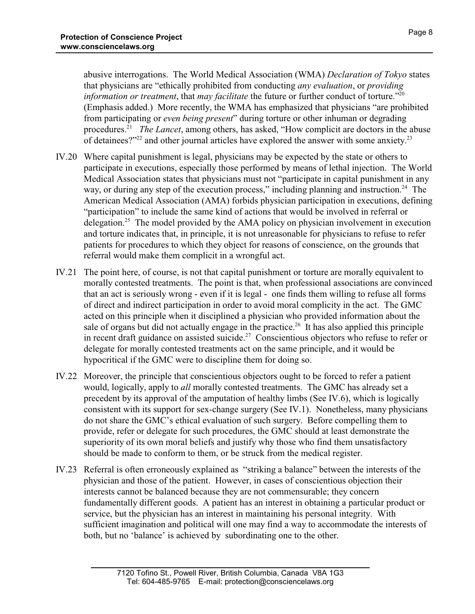abusive interrogations. The World Medical Association (WMA) *Declaration of Tokyo* states that physicians are "ethically prohibited from conducting *any evaluation*, or *providing information or treatment*, that *may facilitate* the future or further conduct of torture."<sup>20</sup> (Emphasis added.) More recently, the WMA has emphasized that physicians "are prohibited from participating or *even being present*" during torture or other inhuman or degrading procedures.<sup>21</sup> The Lancet, among others, has asked, "How complicit are doctors in the abuse of detainees?" $2^{2}$  and other journal articles have explored the answer with some anxiety.<sup>23</sup>

- IV.20 Where capital punishment is legal, physicians may be expected by the state or others to participate in executions, especially those performed by means of lethal injection. The World Medical Association states that physicians must not "participate in capital punishment in any way, or during any step of the execution process," including planning and instruction.<sup>24</sup> The American Medical Association (AMA) forbids physician participation in executions, defining "participation" to include the same kind of actions that would be involved in referral or delegation.<sup>25</sup> The model provided by the AMA policy on physician involvement in execution and torture indicates that, in principle, it is not unreasonable for physicians to refuse to refer patients for procedures to which they object for reasons of conscience, on the grounds that referral would make them complicit in a wrongful act.
- IV.21 The point here, of course, is not that capital punishment or torture are morally equivalent to morally contested treatments. The point is that, when professional associations are convinced that an act is seriously wrong - even if it is legal - one finds them willing to refuse all forms of direct and indirect participation in order to avoid moral complicity in the act. The GMC acted on this principle when it disciplined a physician who provided information about the sale of organs but did not actually engage in the practice.<sup>26</sup> It has also applied this principle in recent draft guidance on assisted suicide.<sup>27</sup> Conscientious objectors who refuse to refer or delegate for morally contested treatments act on the same principle, and it would be hypocritical if the GMC were to discipline them for doing so.
- IV.22 Moreover, the principle that conscientious objectors ought to be forced to refer a patient would, logically, apply to *all* morally contested treatments. The GMC has already set a precedent by its approval of the amputation of healthy limbs (See IV.6), which is logically consistent with its support for sex-change surgery (See IV.1). Nonetheless, many physicians do not share the GMC's ethical evaluation of such surgery. Before compelling them to provide, refer or delegate for such procedures, the GMC should at least demonstrate the superiority of its own moral beliefs and justify why those who find them unsatisfactory should be made to conform to them, or be struck from the medical register.
- IV.23 Referral is often erroneously explained as "striking a balance" between the interests of the physician and those of the patient. However, in cases of conscientious objection their interests cannot be balanced because they are not commensurable; they concern fundamentally different goods. A patient has an interest in obtaining a particular product or service, but the physician has an interest in maintaining his personal integrity. With sufficient imagination and political will one may find a way to accommodate the interests of both, but no 'balance' is achieved by subordinating one to the other.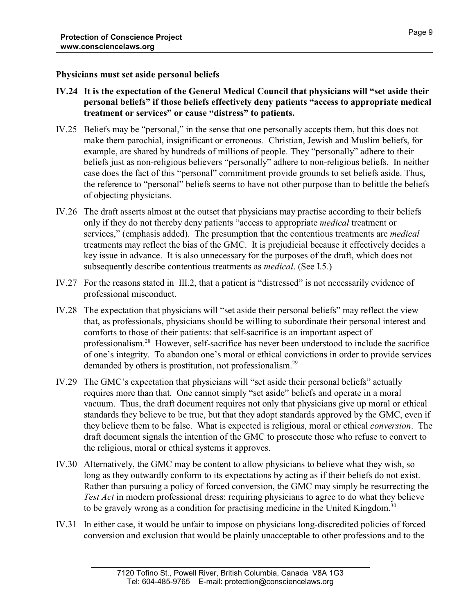#### **Physicians must set aside personal beliefs**

- **IV.24 It is the expectation of the General Medical Council that physicians will "set aside their personal beliefs" if those beliefs effectively deny patients "access to appropriate medical treatment or services" or cause "distress" to patients.**
- IV.25 Beliefs may be "personal," in the sense that one personally accepts them, but this does not make them parochial, insignificant or erroneous. Christian, Jewish and Muslim beliefs, for example, are shared by hundreds of millions of people. They "personally" adhere to their beliefs just as non-religious believers "personally" adhere to non-religious beliefs. In neither case does the fact of this "personal" commitment provide grounds to set beliefs aside. Thus, the reference to "personal" beliefs seems to have not other purpose than to belittle the beliefs of objecting physicians.
- IV.26 The draft asserts almost at the outset that physicians may practise according to their beliefs only if they do not thereby deny patients "access to appropriate *medical* treatment or services," (emphasis added). The presumption that the contentious treatments are *medical* treatments may reflect the bias of the GMC. It is prejudicial because it effectively decides a key issue in advance. It is also unnecessary for the purposes of the draft, which does not subsequently describe contentious treatments as *medical*. (See I.5.)
- IV.27 For the reasons stated in III.2, that a patient is "distressed" is not necessarily evidence of professional misconduct.
- IV.28 The expectation that physicians will "set aside their personal beliefs" may reflect the view that, as professionals, physicians should be willing to subordinate their personal interest and comforts to those of their patients: that self-sacrifice is an important aspect of professionalism.<sup>28</sup> However, self-sacrifice has never been understood to include the sacrifice of one's integrity. To abandon one's moral or ethical convictions in order to provide services demanded by others is prostitution, not professionalism.<sup>29</sup>
- IV.29 The GMC's expectation that physicians will "set aside their personal beliefs" actually requires more than that. One cannot simply "set aside" beliefs and operate in a moral vacuum. Thus, the draft document requires not only that physicians give up moral or ethical standards they believe to be true, but that they adopt standards approved by the GMC, even if they believe them to be false. What is expected is religious, moral or ethical *conversion*. The draft document signals the intention of the GMC to prosecute those who refuse to convert to the religious, moral or ethical systems it approves.
- IV.30 Alternatively, the GMC may be content to allow physicians to believe what they wish, so long as they outwardly conform to its expectations by acting as if their beliefs do not exist. Rather than pursuing a policy of forced conversion, the GMC may simply be resurrecting the *Test Act* in modern professional dress: requiring physicians to agree to do what they believe to be gravely wrong as a condition for practising medicine in the United Kingdom.<sup>30</sup>
- IV.31 In either case, it would be unfair to impose on physicians long-discredited policies of forced conversion and exclusion that would be plainly unacceptable to other professions and to the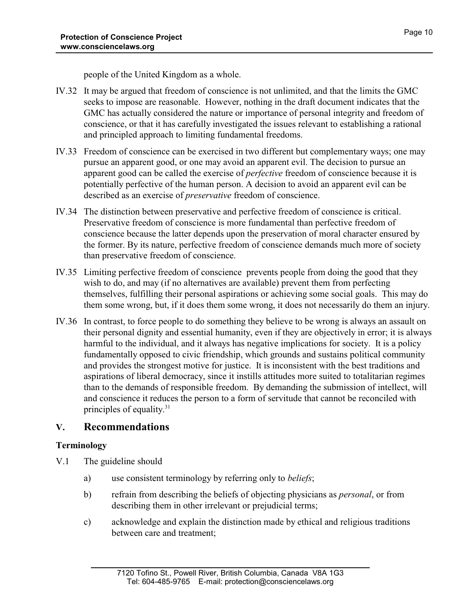- IV.32 It may be argued that freedom of conscience is not unlimited, and that the limits the GMC seeks to impose are reasonable. However, nothing in the draft document indicates that the GMC has actually considered the nature or importance of personal integrity and freedom of conscience, or that it has carefully investigated the issues relevant to establishing a rational and principled approach to limiting fundamental freedoms.
- IV.33 Freedom of conscience can be exercised in two different but complementary ways; one may pursue an apparent good, or one may avoid an apparent evil. The decision to pursue an apparent good can be called the exercise of *perfective* freedom of conscience because it is potentially perfective of the human person. A decision to avoid an apparent evil can be described as an exercise of *preservative* freedom of conscience.
- IV.34 The distinction between preservative and perfective freedom of conscience is critical. Preservative freedom of conscience is more fundamental than perfective freedom of conscience because the latter depends upon the preservation of moral character ensured by the former. By its nature, perfective freedom of conscience demands much more of society than preservative freedom of conscience.
- IV.35 Limiting perfective freedom of conscience prevents people from doing the good that they wish to do, and may (if no alternatives are available) prevent them from perfecting themselves, fulfilling their personal aspirations or achieving some social goals. This may do them some wrong, but, if it does them some wrong, it does not necessarily do them an injury.
- IV.36 In contrast, to force people to do something they believe to be wrong is always an assault on their personal dignity and essential humanity, even if they are objectively in error; it is always harmful to the individual, and it always has negative implications for society. It is a policy fundamentally opposed to civic friendship, which grounds and sustains political community and provides the strongest motive for justice. It is inconsistent with the best traditions and aspirations of liberal democracy, since it instills attitudes more suited to totalitarian regimes than to the demands of responsible freedom. By demanding the submission of intellect, will and conscience it reduces the person to a form of servitude that cannot be reconciled with principles of equality.<sup>31</sup>

# **V. Recommendations**

# **Terminology**

- V.1 The guideline should
	- a) use consistent terminology by referring only to *beliefs*;
	- b) refrain from describing the beliefs of objecting physicians as *personal*, or from describing them in other irrelevant or prejudicial terms;
	- c) acknowledge and explain the distinction made by ethical and religious traditions between care and treatment;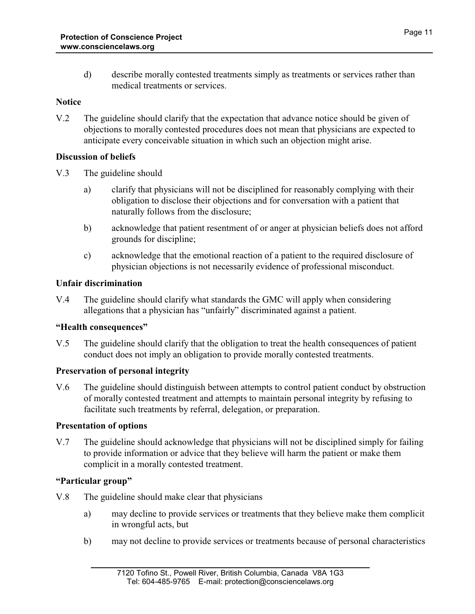d) describe morally contested treatments simply as treatments or services rather than medical treatments or services.

# **Notice**

V.2 The guideline should clarify that the expectation that advance notice should be given of objections to morally contested procedures does not mean that physicians are expected to anticipate every conceivable situation in which such an objection might arise.

# **Discussion of beliefs**

V.3 The guideline should

- a) clarify that physicians will not be disciplined for reasonably complying with their obligation to disclose their objections and for conversation with a patient that naturally follows from the disclosure;
- b) acknowledge that patient resentment of or anger at physician beliefs does not afford grounds for discipline;
- c) acknowledge that the emotional reaction of a patient to the required disclosure of physician objections is not necessarily evidence of professional misconduct.

# **Unfair discrimination**

V.4 The guideline should clarify what standards the GMC will apply when considering allegations that a physician has "unfairly" discriminated against a patient.

# **"Health consequences"**

V.5 The guideline should clarify that the obligation to treat the health consequences of patient conduct does not imply an obligation to provide morally contested treatments.

# **Preservation of personal integrity**

V.6 The guideline should distinguish between attempts to control patient conduct by obstruction of morally contested treatment and attempts to maintain personal integrity by refusing to facilitate such treatments by referral, delegation, or preparation.

#### **Presentation of options**

V.7 The guideline should acknowledge that physicians will not be disciplined simply for failing to provide information or advice that they believe will harm the patient or make them complicit in a morally contested treatment.

# **"Particular group"**

- V.8 The guideline should make clear that physicians
	- a) may decline to provide services or treatments that they believe make them complicit in wrongful acts, but
	- b) may not decline to provide services or treatments because of personal characteristics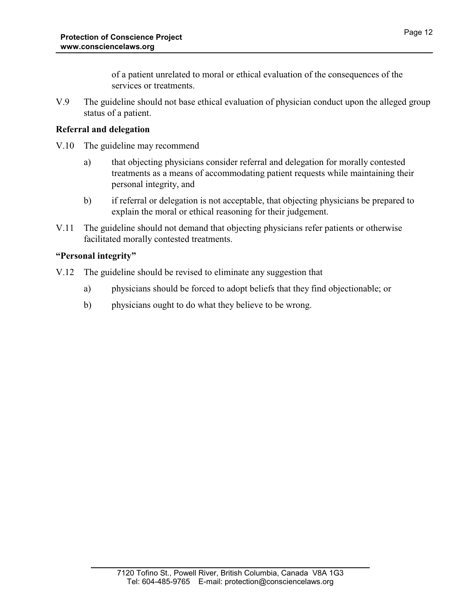of a patient unrelated to moral or ethical evaluation of the consequences of the services or treatments.

V.9 The guideline should not base ethical evaluation of physician conduct upon the alleged group status of a patient.

# **Referral and delegation**

- V.10 The guideline may recommend
	- a) that objecting physicians consider referral and delegation for morally contested treatments as a means of accommodating patient requests while maintaining their personal integrity, and
	- b) if referral or delegation is not acceptable, that objecting physicians be prepared to explain the moral or ethical reasoning for their judgement.
- V.11 The guideline should not demand that objecting physicians refer patients or otherwise facilitated morally contested treatments.

# **"Personal integrity"**

- V.12 The guideline should be revised to eliminate any suggestion that
	- a) physicians should be forced to adopt beliefs that they find objectionable; or
	- b) physicians ought to do what they believe to be wrong.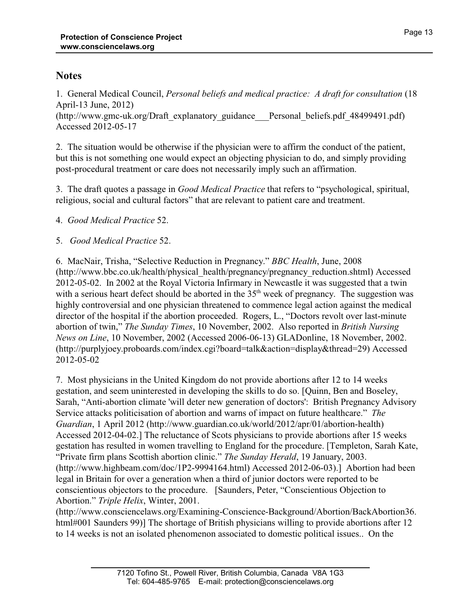# **Notes**

1. General Medical Council, *Personal beliefs and medical practice: A draft for consultation* (18 April-13 June, 2012)

(http://www.gmc-uk.org/Draft\_explanatory\_guidance\_\_\_Personal\_beliefs.pdf\_48499491.pdf) Accessed 2012-05-17

2. The situation would be otherwise if the physician were to affirm the conduct of the patient, but this is not something one would expect an objecting physician to do, and simply providing post-procedural treatment or care does not necessarily imply such an affirmation.

3. The draft quotes a passage in *Good Medical Practice* that refers to "psychological, spiritual, religious, social and cultural factors" that are relevant to patient care and treatment.

# 4. *Good Medical Practice* 52.

# 5. *Good Medical Practice* 52.

6. MacNair, Trisha, "Selective Reduction in Pregnancy." *BBC Health*, June, 2008 (http://www.bbc.co.uk/health/physical\_health/pregnancy/pregnancy\_reduction.shtml) Accessed 2012-05-02. In 2002 at the Royal Victoria Infirmary in Newcastle it was suggested that a twin with a serious heart defect should be aborted in the  $35<sup>th</sup>$  week of pregnancy. The suggestion was highly controversial and one physician threatened to commence legal action against the medical director of the hospital if the abortion proceeded. Rogers, L., "Doctors revolt over last-minute abortion of twin," *The Sunday Times*, 10 November, 2002. Also reported in *British Nursing News on Line*, 10 November, 2002 (Accessed 2006-06-13) GLADonline, 18 November, 2002. (http://purplyjoey.proboards.com/index.cgi?board=talk&action=display&thread=29) Accessed 2012-05-02

7. Most physicians in the United Kingdom do not provide abortions after 12 to 14 weeks gestation, and seem uninterested in developing the skills to do so. [Quinn, Ben and Boseley, Sarah, "Anti-abortion climate 'will deter new generation of doctors': British Pregnancy Advisory Service attacks politicisation of abortion and warns of impact on future healthcare." *The Guardian*, 1 April 2012 (http://www.guardian.co.uk/world/2012/apr/01/abortion-health) Accessed 2012-04-02.] The reluctance of Scots physicians to provide abortions after 15 weeks gestation has resulted in women travelling to England for the procedure. [Templeton, Sarah Kate, "Private firm plans Scottish abortion clinic." *The Sunday Herald*, 19 January, 2003. (http://www.highbeam.com/doc/1P2-9994164.html) Accessed 2012-06-03).] Abortion had been legal in Britain for over a generation when a third of junior doctors were reported to be conscientious objectors to the procedure. [Saunders, Peter, "Conscientious Objection to Abortion." *Triple Helix*, Winter, 2001.

(http://www.consciencelaws.org/Examining-Conscience-Background/Abortion/BackAbortion36. html#001 Saunders 99)] The shortage of British physicians willing to provide abortions after 12 to 14 weeks is not an isolated phenomenon associated to domestic political issues.. On the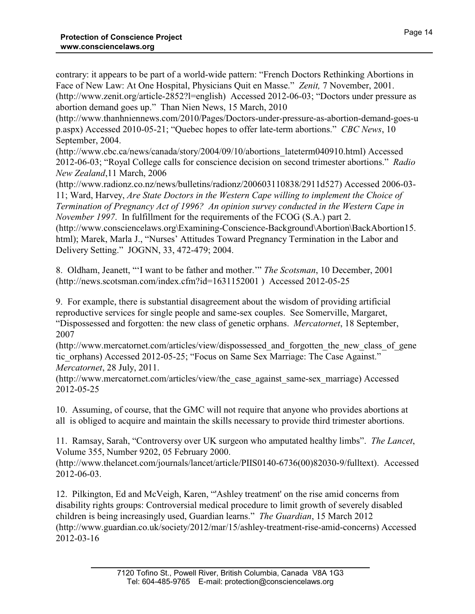contrary: it appears to be part of a world-wide pattern: "French Doctors Rethinking Abortions in Face of New Law: At One Hospital, Physicians Quit en Masse." *Zenit,* 7 November, 2001. (http://www.zenit.org/article-2852?l=english) Accessed 2012-06-03; "Doctors under pressure as abortion demand goes up." Than Nien News, 15 March, 2010

(http://www.thanhniennews.com/2010/Pages/Doctors-under-pressure-as-abortion-demand-goes-u p.aspx) Accessed 2010-05-21; "Quebec hopes to offer late-term abortions." *CBC News*, 10 September, 2004.

(http://www.cbc.ca/news/canada/story/2004/09/10/abortions\_lateterm040910.html) Accessed 2012-06-03; "Royal College calls for conscience decision on second trimester abortions." *Radio New Zealand*,11 March, 2006

(http://www.radionz.co.nz/news/bulletins/radionz/200603110838/2911d527) Accessed 2006-03- 11; Ward, Harvey, *Are State Doctors in the Western Cape willing to implement the Choice of Termination of Pregnancy Act of 1996? An opinion survey conducted in the Western Cape in November 1997*. In fulfillment for the requirements of the FCOG (S.A.) part 2.

(http://www.consciencelaws.org\Examining-Conscience-Background\Abortion\BackAbortion15. html); Marek, Marla J., "Nurses' Attitudes Toward Pregnancy Termination in the Labor and Delivery Setting." JOGNN, 33, 472-479; 2004.

8. Oldham, Jeanett, "'I want to be father and mother.'" *The Scotsman*, 10 December, 2001 (http://news.scotsman.com/index.cfm?id=1631152001 ) Accessed 2012-05-25

9. For example, there is substantial disagreement about the wisdom of providing artificial reproductive services for single people and same-sex couples. See Somerville, Margaret, "Dispossessed and forgotten: the new class of genetic orphans. *Mercatornet*, 18 September, 2007

(http://www.mercatornet.com/articles/view/dispossessed\_and\_forgotten\_the\_new\_class\_of\_gene tic orphans) Accessed 2012-05-25; "Focus on Same Sex Marriage: The Case Against." *Mercatornet*, 28 July, 2011.

(http://www.mercatornet.com/articles/view/the\_case\_against\_same-sex\_marriage) Accessed 2012-05-25

10. Assuming, of course, that the GMC will not require that anyone who provides abortions at all is obliged to acquire and maintain the skills necessary to provide third trimester abortions.

11. Ramsay, Sarah, "Controversy over UK surgeon who amputated healthy limbs". *The Lancet*, Volume 355, Number 9202, 05 February 2000.

(http://www.thelancet.com/journals/lancet/article/PIIS0140-6736(00)82030-9/fulltext). Accessed 2012-06-03.

12. Pilkington, Ed and McVeigh, Karen, "'Ashley treatment' on the rise amid concerns from disability rights groups: Controversial medical procedure to limit growth of severely disabled children is being increasingly used, Guardian learns." *The Guardian*, 15 March 2012 (http://www.guardian.co.uk/society/2012/mar/15/ashley-treatment-rise-amid-concerns) Accessed 2012-03-16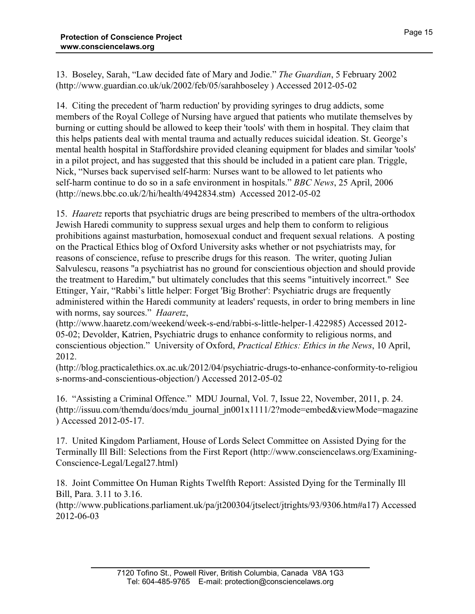13. Boseley, Sarah, "Law decided fate of Mary and Jodie." *The Guardian*, 5 February 2002 (http://www.guardian.co.uk/uk/2002/feb/05/sarahboseley ) Accessed 2012-05-02

14. Citing the precedent of 'harm reduction' by providing syringes to drug addicts, some members of the Royal College of Nursing have argued that patients who mutilate themselves by burning or cutting should be allowed to keep their 'tools' with them in hospital. They claim that this helps patients deal with mental trauma and actually reduces suicidal ideation. St. George's mental health hospital in Staffordshire provided cleaning equipment for blades and similar 'tools' in a pilot project, and has suggested that this should be included in a patient care plan. Triggle, Nick, "Nurses back supervised self-harm: Nurses want to be allowed to let patients who self-harm continue to do so in a safe environment in hospitals." *BBC News*, 25 April, 2006 (http://news.bbc.co.uk/2/hi/health/4942834.stm) Accessed 2012-05-02

15. *Haaretz* reports that psychiatric drugs are being prescribed to members of the ultra-orthodox Jewish Haredi community to suppress sexual urges and help them to conform to religious prohibitions against masturbation, homosexual conduct and frequent sexual relations. A posting on the Practical Ethics blog of Oxford University asks whether or not psychiatrists may, for reasons of conscience, refuse to prescribe drugs for this reason. The writer, quoting Julian Salvulescu, reasons "a psychiatrist has no ground for conscientious objection and should provide the treatment to Haredim," but ultimately concludes that this seems "intuitively incorrect." See Ettinger, Yair, "Rabbi's little helper: Forget 'Big Brother': Psychiatric drugs are frequently administered within the Haredi community at leaders' requests, in order to bring members in line with norms, say sources." *Haaretz*,

(http://www.haaretz.com/weekend/week-s-end/rabbi-s-little-helper-1.422985) Accessed 2012- 05-02; Devolder, Katrien, Psychiatric drugs to enhance conformity to religious norms, and conscientious objection." University of Oxford, *Practical Ethics: Ethics in the News*, 10 April, 2012.

(http://blog.practicalethics.ox.ac.uk/2012/04/psychiatric-drugs-to-enhance-conformity-to-religiou s-norms-and-conscientious-objection/) Accessed 2012-05-02

16. "Assisting a Criminal Offence." MDU Journal, Vol. 7, Issue 22, November, 2011, p. 24. (http://issuu.com/themdu/docs/mdu\_journal\_jn001x1111/2?mode=embed&viewMode=magazine ) Accessed 2012-05-17.

17. United Kingdom Parliament, House of Lords Select Committee on Assisted Dying for the Terminally Ill Bill: Selections from the First Report (http://www.consciencelaws.org/Examining-Conscience-Legal/Legal27.html)

18. Joint Committee On Human Rights Twelfth Report: Assisted Dying for the Terminally Ill Bill, Para. 3.11 to 3.16.

(http://www.publications.parliament.uk/pa/jt200304/jtselect/jtrights/93/9306.htm#a17) Accessed 2012-06-03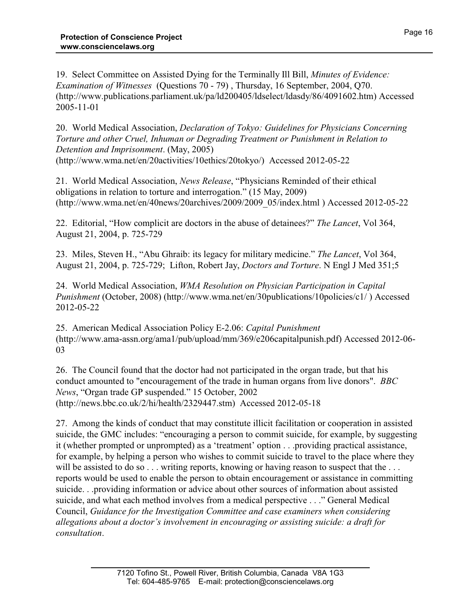19. Select Committee on Assisted Dying for the Terminally Ill Bill, *Minutes of Evidence: Examination of Witnesses* (Questions 70 - 79) , Thursday, 16 September, 2004, Q70. (http://www.publications.parliament.uk/pa/ld200405/ldselect/ldasdy/86/4091602.htm) Accessed 2005-11-01

20. World Medical Association, *Declaration of Tokyo: Guidelines for Physicians Concerning Torture and other Cruel, Inhuman or Degrading Treatment or Punishment in Relation to Detention and Imprisonment*. (May, 2005) (http://www.wma.net/en/20activities/10ethics/20tokyo/) Accessed 2012-05-22

21. World Medical Association, *News Release*, "Physicians Reminded of their ethical obligations in relation to torture and interrogation." (15 May, 2009) (http://www.wma.net/en/40news/20archives/2009/2009\_05/index.html ) Accessed 2012-05-22

22. Editorial, "How complicit are doctors in the abuse of detainees?" *The Lancet*, Vol 364, August 21, 2004, p. 725-729

23. Miles, Steven H., "Abu Ghraib: its legacy for military medicine." *The Lancet*, Vol 364, August 21, 2004, p. 725-729; Lifton, Robert Jay, *Doctors and Torture*. N Engl J Med 351;5

24. World Medical Association, *WMA Resolution on Physician Participation in Capital Punishment* (October, 2008) (http://www.wma.net/en/30publications/10policies/c1/) Accessed 2012-05-22

25. American Medical Association Policy E-2.06: *Capital Punishment* (http://www.ama-assn.org/ama1/pub/upload/mm/369/e206capitalpunish.pdf) Accessed 2012-06- 03

26. The Council found that the doctor had not participated in the organ trade, but that his conduct amounted to "encouragement of the trade in human organs from live donors". *BBC News*, "Organ trade GP suspended." 15 October, 2002 (http://news.bbc.co.uk/2/hi/health/2329447.stm) Accessed 2012-05-18

27. Among the kinds of conduct that may constitute illicit facilitation or cooperation in assisted suicide, the GMC includes: "encouraging a person to commit suicide, for example, by suggesting it (whether prompted or unprompted) as a 'treatment' option . . .providing practical assistance, for example, by helping a person who wishes to commit suicide to travel to the place where they will be assisted to do so . . . writing reports, knowing or having reason to suspect that the . . . reports would be used to enable the person to obtain encouragement or assistance in committing suicide. . .providing information or advice about other sources of information about assisted suicide, and what each method involves from a medical perspective . . ." General Medical Council, *Guidance for the Investigation Committee and case examiners when considering allegations about a doctor's involvement in encouraging or assisting suicide: a draft for consultation*.